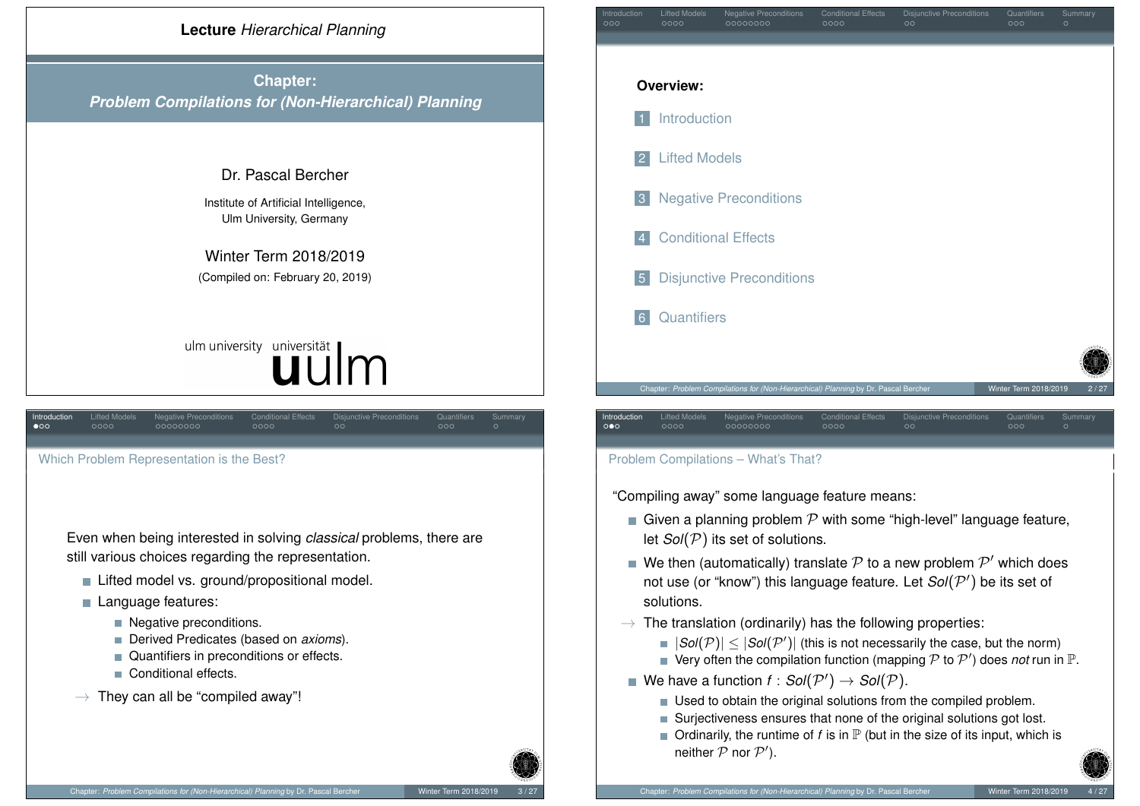

<span id="page-0-0"></span>Whi[ch](#page-1-0) [P](#page-2-0)roble[m R](#page-2-0)[epr](#page-3-0)[es](#page-4-0)entatio[n is](#page-4-0) [th](#page-5-0)e Best?

[Even when](#page-0-0) being interested in solving *classical* problems, there are still various choices regarding the representation.

■ [Lifted m](#page-1-0)odel vs. ground/propositional model.

### **Language features:**

- [Negative pre](#page-2-0)conditions.
- Derived Predicates (based on *axioms*).
- **■** [Quantifi](#page-4-0)ers in preconditions or effects.
- Conditional effects.
- $\rightarrow$  [They can all be "co](#page-5-0)mpiled away"!



## Problem Compilations – What's That?

"Compiling away" some language feature means:

- Given a planning problem  $\mathcal P$  with some "high-level" language feature, let *Sol*(P) its set of solutions.
- We then (automatically) translate  $\mathcal P$  to a new problem  $\mathcal P'$  which does not use (or "know") this language feature. Let  $Sol(P')$  be its set of solutions.
- $\rightarrow$  The translation (ordinarily) has the following properties:
	- $|Sol(\mathcal{P})| \leq |Sol(\mathcal{P}')|$  (this is not necessarily the case, but the norm)
	- Very often the compilation function (mapping  $P$  to  $P'$ ) does *not* run in  $\mathbb P$ .
- We have a function  $f : Sol(\mathcal{P}') \rightarrow Sol(\mathcal{P})$ .
	- Used to obtain the original solutions from the compiled problem.
	- Surjectiveness ensures that none of the original solutions got lost.
	- $\blacksquare$  Ordinarily, the runtime of *f* is in  $\mathbb P$  (but in the size of its input, which is neither  $P$  nor  $P'$ ).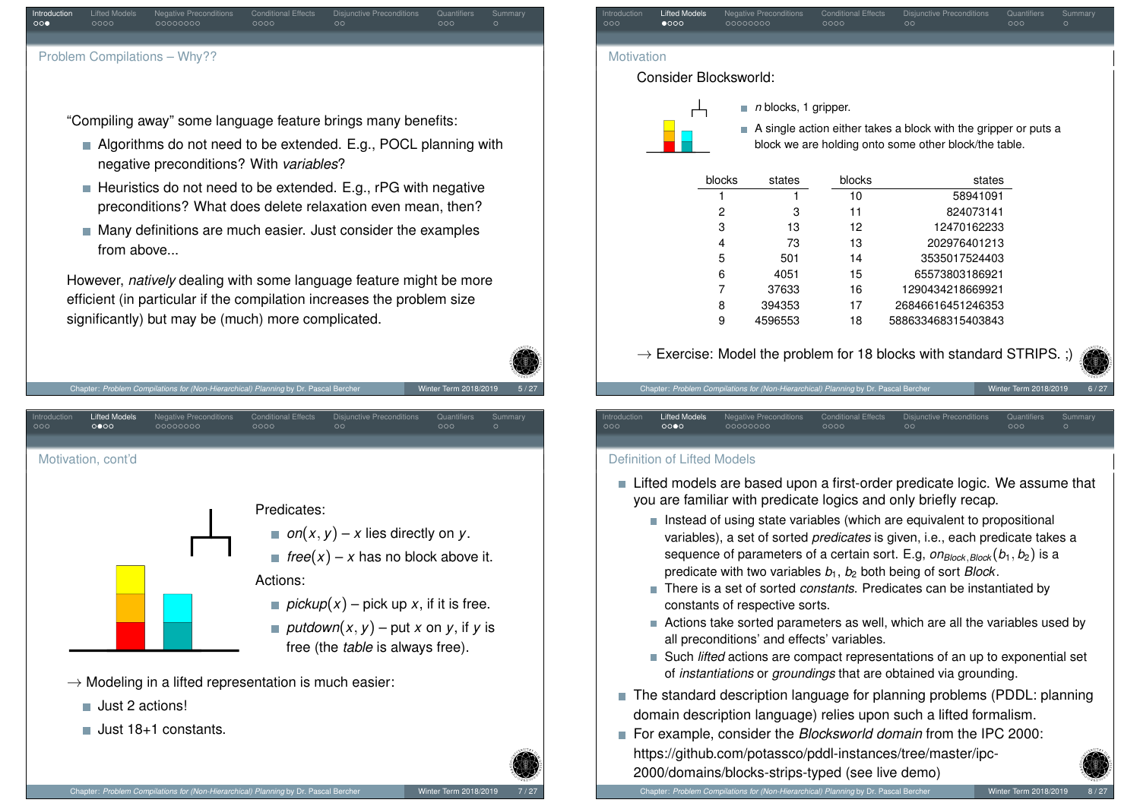| Introduction<br>$\circ \circ \bullet$ | Lifted Models<br>0000 | Negative Preconditions<br>00000000 | <b>Conditional Effects</b><br>0000 | Disjunctive Preconditions<br>$\circ$ | Quantifiers<br>000 | Summary<br>$\circ$ |
|---------------------------------------|-----------------------|------------------------------------|------------------------------------|--------------------------------------|--------------------|--------------------|
|                                       |                       |                                    |                                    |                                      |                    |                    |
|                                       |                       | Problem Compilations - Why??       |                                    |                                      |                    |                    |

"Compiling away" some language feature brings many benefits:

- Algorithms do not need to be extended. E.g., POCL planning with negative preconditions? With *variables*?
- Heuristics do not need to be extended. E.g., rPG with negative preconditions? What does delete relaxation even mean, then?
- $\blacksquare$  Many definitions are much easier. Just consider the examples from above.

However, *natively* dealing with some language feature might be more efficient (in particular if the compilation increases the problem size significantly) but may be (much) more complicated.

<span id="page-1-0"></span>

|                     |                              | Chapter: Problem Compilations for (Non-Hierarchical) Planning by Dr. Pascal Bercher       |                                    |                                                                                                                                                                                                                    | Winter Term 2018/2019 | 5/27               |
|---------------------|------------------------------|-------------------------------------------------------------------------------------------|------------------------------------|--------------------------------------------------------------------------------------------------------------------------------------------------------------------------------------------------------------------|-----------------------|--------------------|
| Introduction<br>000 | <b>Lifted Models</b><br>0000 | <b>Negative Preconditions</b><br>00000000                                                 | <b>Conditional Effects</b><br>0000 | <b>Disjunctive Preconditions</b><br>$\circ$                                                                                                                                                                        | Quantifiers<br>000    | Summary<br>$\circ$ |
|                     | Motivation, cont'd           |                                                                                           | Predicates:<br>Actions:            | on $(x, y) - x$ lies directly on y.<br>$free(x) - x$ has no block above it.<br>pickup(x) – pick up x, if it is free.<br>■ <i>putdown</i> $(x, y)$ – put x on y, if y is<br>free (the <i>table</i> is always free). |                       |                    |
|                     | Just 2 actions!              | $\rightarrow$ Modeling in a lifted representation is much easier:<br>Just 18+1 constants. |                                    |                                                                                                                                                                                                                    |                       |                    |



 $\rightarrow$  Exercise: Model the problem for 18 blocks with standard STRIPS. ;)

18 588633468315403843

Chapter: *Problem Compilations for (Non-Hierarchical) Planning by Dr. Pascal Bercher Winter Term 2018/201<sub>1</sub>* 

9 4596553

| Introduction | Lifted Models | Negative Preconditions | <b>Conditional Effects</b> | Disjunctive Preconditions | Quantifiers | Summary |
|--------------|---------------|------------------------|----------------------------|---------------------------|-------------|---------|
| 000          | 0000          | 00000000               | 0000                       | $\circ$                   | 000         |         |
|              |               |                        |                            |                           |             |         |

## Definition of Lifted Models

- Lifted models are based upon a first-order predicate logic. We assume that you are familiar with predicate logics and only briefly recap.
	- $\blacksquare$  Instead of using state variables (which are equivalent to propositional variables), a set of sorted *predicates* is given, i.e., each predicate takes a sequence of parameters of a certain sort. E.g,  $\omega_{Block, Block}(b_1, b_2)$  is a predicate with two variables *b*1, *b*<sup>2</sup> both being of sort *Block*.
	- There is a set of sorted *constants*. Predicates can be instantiated by constants of respective sorts.
	- Actions take sorted parameters as well, which are all the variables used by all preconditions' and effects' variables.
	- Such *lifted* actions are compact representations of an up to exponential set of *instantiations* or *groundings* that are obtained via grounding.
- The standard description language for planning problems (PDDL: planning domain description language) relies upon such a lifted formalism.
- For example, consider the *Blocksworld domain* from the IPC 2000: https://github.com/potassco/pddl-instances/tree/master/ipc-2000/domains/blocks-strips-typed (see live demo)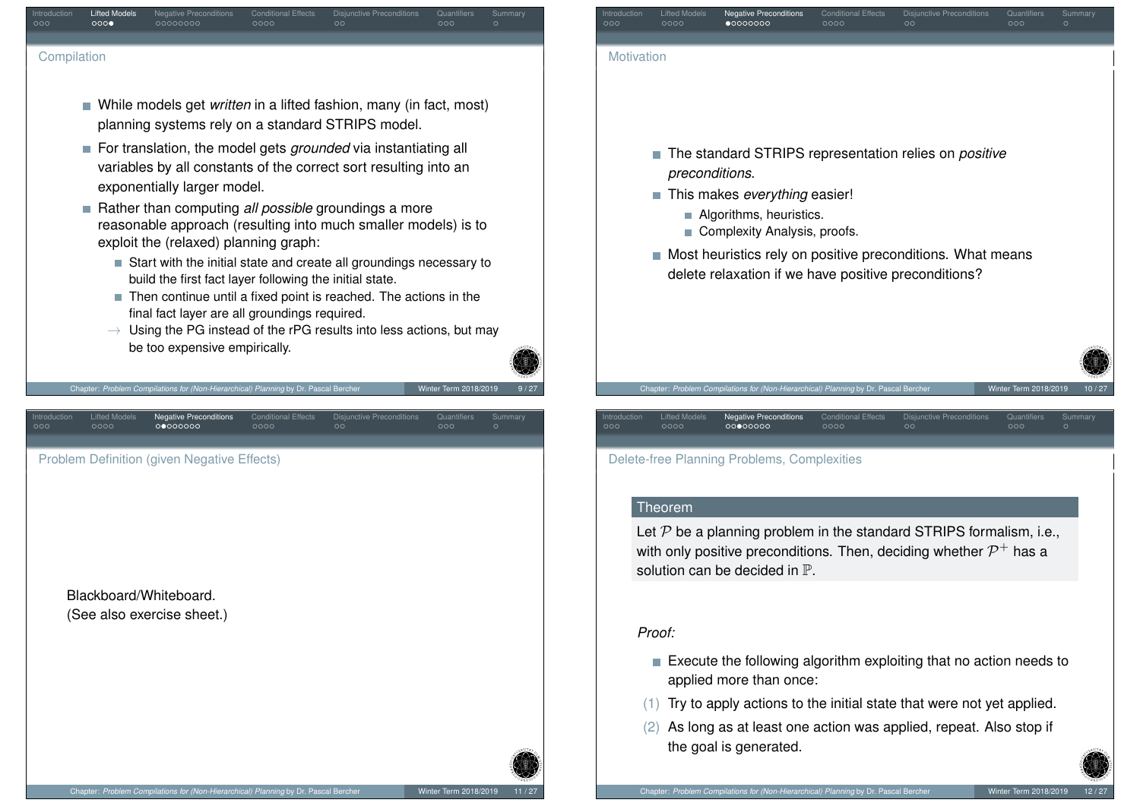<span id="page-2-0"></span>

| <b>Lifted Models</b><br><b>Conditional Effects</b><br>Disjunctive Preconditions<br>troduction<br><b>Negative Preconditions</b><br>Quantifiers<br>Summary<br>000<br>00000000<br>0000<br>೦೦೦<br>000<br>$\circ$                                                                                                                                                                                                                                                                                                                                                                                                                                                                                                                                                                                                               | Lifted Models<br><b>Conditional Effects</b><br>Introduction<br><b>Negative Preconditions</b><br>Disjunctive Preconditions<br>Quantifiers<br>Summary<br>0000<br>00000000<br>0000<br>000<br>000<br>ററ                                                                                                |
|----------------------------------------------------------------------------------------------------------------------------------------------------------------------------------------------------------------------------------------------------------------------------------------------------------------------------------------------------------------------------------------------------------------------------------------------------------------------------------------------------------------------------------------------------------------------------------------------------------------------------------------------------------------------------------------------------------------------------------------------------------------------------------------------------------------------------|----------------------------------------------------------------------------------------------------------------------------------------------------------------------------------------------------------------------------------------------------------------------------------------------------|
| Compilation                                                                                                                                                                                                                                                                                                                                                                                                                                                                                                                                                                                                                                                                                                                                                                                                                | Motivation                                                                                                                                                                                                                                                                                         |
| ■ While models get <i>written</i> in a lifted fashion, many (in fact, most)<br>planning systems rely on a standard STRIPS model.<br>For translation, the model gets <i>grounded</i> via instantiating all<br>variables by all constants of the correct sort resulting into an<br>exponentially larger model.<br>Rather than computing all possible groundings a more<br>reasonable approach (resulting into much smaller models) is to<br>exploit the (relaxed) planning graph:<br>Start with the initial state and create all groundings necessary to<br>build the first fact layer following the initial state.<br>Then continue until a fixed point is reached. The actions in the<br>final fact layer are all groundings required.<br>$\rightarrow$ Using the PG instead of the rPG results into less actions, but may | ■ The standard STRIPS representation relies on <i>positive</i><br>preconditions.<br>This makes everything easier!<br>Algorithms, heuristics.<br>Complexity Analysis, proofs.<br>Most heuristics rely on positive preconditions. What means<br>delete relaxation if we have positive preconditions? |
| be too expensive empirically.<br>Chapter: Problem Compilations for (Non-Hierarchical) Planning by Dr. Pascal Bercher<br>Winter Term 2018/2019<br>9/27                                                                                                                                                                                                                                                                                                                                                                                                                                                                                                                                                                                                                                                                      | Chapter: Problem Compilations for (Non-Hierarchical) Planning by Dr. Pascal Bercher<br>Winter Term 2018/2019<br>10/27                                                                                                                                                                              |
| <b>Lifted Models</b><br><b>Negative Preconditions</b><br><b>Conditional Effects</b><br><b>Disjunctive Preconditions</b><br>Quantifiers<br>Summary<br>roductior<br>00000000<br>0000<br>0000<br>$\circ$<br>000                                                                                                                                                                                                                                                                                                                                                                                                                                                                                                                                                                                                               | <b>Lifted Models</b><br>Negative Preconditions<br><b>Conditional Effects</b><br>Quantifiers<br>ntroduction<br><b>Disjunctive Preconditions</b><br>Summary<br>00000000<br>0000<br>000<br>0000<br>$\circ$<br>000                                                                                     |
| Problem Definition (given Negative Effects)                                                                                                                                                                                                                                                                                                                                                                                                                                                                                                                                                                                                                                                                                                                                                                                | Delete-free Planning Problems, Complexities                                                                                                                                                                                                                                                        |
|                                                                                                                                                                                                                                                                                                                                                                                                                                                                                                                                                                                                                                                                                                                                                                                                                            | Theorem<br>Let $P$ be a planning problem in the standard STRIPS formalism, i.e.,<br>with only positive preconditions. Then, deciding whether $\mathcal{P}^+$ has a<br>solution can be decided in $\mathbb{P}$ .                                                                                    |
| Blackboard/Whiteboard.<br>(See also exercise sheet.)                                                                                                                                                                                                                                                                                                                                                                                                                                                                                                                                                                                                                                                                                                                                                                       | Proof:                                                                                                                                                                                                                                                                                             |
|                                                                                                                                                                                                                                                                                                                                                                                                                                                                                                                                                                                                                                                                                                                                                                                                                            | Execute the following algorithm exploiting that no action needs to<br>applied more than once:                                                                                                                                                                                                      |
|                                                                                                                                                                                                                                                                                                                                                                                                                                                                                                                                                                                                                                                                                                                                                                                                                            | (1) Try to apply actions to the initial state that were not yet applied.                                                                                                                                                                                                                           |
|                                                                                                                                                                                                                                                                                                                                                                                                                                                                                                                                                                                                                                                                                                                                                                                                                            | (2) As long as at least one action was applied, repeat. Also stop if<br>the goal is generated.                                                                                                                                                                                                     |
|                                                                                                                                                                                                                                                                                                                                                                                                                                                                                                                                                                                                                                                                                                                                                                                                                            |                                                                                                                                                                                                                                                                                                    |

Chapter: *Problem Compilations for (Non-Hierarchical) Planning* by Dr. Pascal Bercher Winter Term 2018/2019 12 / 27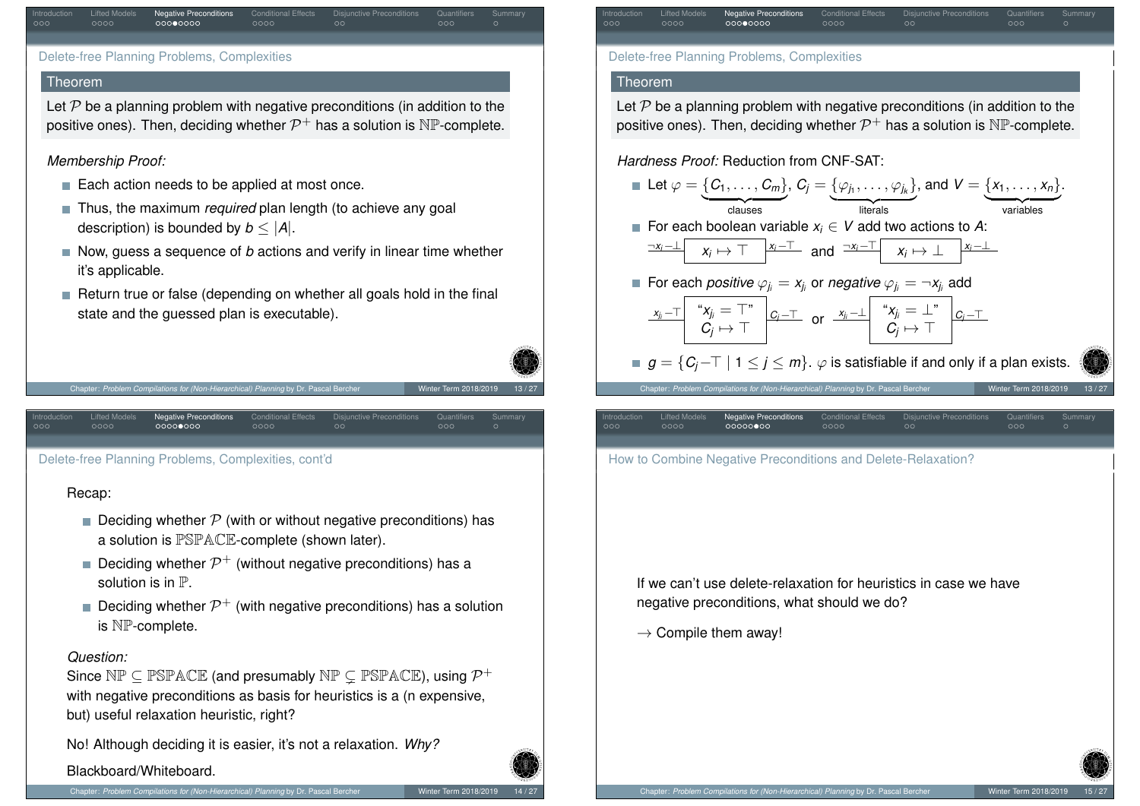| Introduction<br>000 | Lifted Models<br>0000 | <b>Negative Preconditions</b><br>00000000   | <b>Conditional Effects</b><br>0000 | <b>Disjunctive Preconditions</b><br>$\circ$ | Quantifiers<br>000 | Summary<br>O |
|---------------------|-----------------------|---------------------------------------------|------------------------------------|---------------------------------------------|--------------------|--------------|
|                     |                       | Delete-free Planning Problems, Complexities |                                    |                                             |                    |              |
| $T_{\text{max}}$    |                       |                                             |                                    |                                             |                    |              |

#### **Ineorem**

Let  $P$  be a planning problem with negative preconditions (in addition to the positive ones). Then, deciding whether  $\mathcal{P}^+$  has a solution is  $\mathbb{NP}\text{-complete.}$ 

## *Membership Proof:*

- Each action needs to be applied at most once.
- **Thus, the maximum** *required* plan length (to achieve any goal description) is bounded by *b* ≤ |*A*|.
- Now, quess a sequence of *b* actions and verify in linear time whether it's applicable.
- Return true or false (depending on whether all goals hold in the final state and the guessed plan is executable).



<span id="page-3-0"></span>Del[ete-](#page-1-0)[fr](#page-2-0)ee Pl[ann](#page-2-0)[ing](#page-3-0) [P](#page-4-0)roblems[, C](#page-4-0)[om](#page-5-0)plexitie[s, c](#page-5-0)ont'd

## Recap:

- Deciding whether  $P$  (with or without negative preconditions) has a solution is PSPACE-complete (shown later).
- Deciding whether  $\mathcal{P}^+$  (without negative preconditions) has a solution is in P.
- Deciding whether  $\mathcal{P}^+$  (with negative preconditions) has a solution is NP-complete.

### *Question:*

Since  $\mathbb{NP} \subseteq \mathbb{PSPACE}$  (and presumably  $\mathbb{NP} \subsetneq \mathbb{PSPACE}$ ), using  $\mathcal{P}^+$ with negative preconditions as basis for heuristics is a (n expensive, but) useful relaxation heuristic, right?

No! Although deciding it is easier, it's not a relaxation. *Why?*

Blackboard/Whiteboard.



#### Theorem

Let  $P$  be a planning problem with negative preconditions (in addition to the positive ones). Then, deciding whether  $\mathcal{P}^+$  has a solution is  $\mathbb{NP}\text{-complete.}$ 

# *Hardness Proof:* Reduction from CNF-SAT:

|                     |                              | <b>Let</b> $\varphi = \{C_1, \ldots, C_m\}$ , $C_j = \{\varphi_{j_1}, \ldots, \varphi_{j_k}\}$ , and $V = \{x_1, \ldots, x_n\}$ .                                                                          |                               |                                    |          |                                  |                       |                    |       |
|---------------------|------------------------------|------------------------------------------------------------------------------------------------------------------------------------------------------------------------------------------------------------|-------------------------------|------------------------------------|----------|----------------------------------|-----------------------|--------------------|-------|
|                     |                              | clauses                                                                                                                                                                                                    |                               |                                    | literals |                                  | variables             |                    |       |
|                     |                              | ■ For each boolean variable $x_i \in V$ add two actions to A:                                                                                                                                              |                               |                                    |          |                                  |                       |                    |       |
|                     |                              | $\begin{array}{c c c c c c c c c} \hline \neg x_i-\perp & x_i \mapsto \top & \begin{array}{c c} x_i-\top & x_i \end{array} & x_i \mapsto \bot & \begin{array}{c c} x_i-\bot & x_i \end{array} \end{array}$ |                               |                                    |          |                                  |                       |                    |       |
|                     |                              | <b>For each positive</b> $\varphi_{i} = x_{i}$ or negative $\varphi_{i} = \neg x_{i}$ add                                                                                                                  |                               |                                    |          |                                  |                       |                    |       |
|                     |                              | $\begin{array}{c c c c c c c c} \hline x_{j_i} & x_{j_i} = \top^* & c_{j} = \top & \text{or} & x_{j_i} = \bot^* & c_{j} = \top \\ \hline C_j & \mapsto & \top & C_j & \mapsto & \top \end{array}$          |                               |                                    |          |                                  |                       |                    |       |
|                     |                              | $g = \{C_i - \top \mid 1 \leq j \leq m\}$ . $\varphi$ is satisfiable if and only if a plan exists.                                                                                                         |                               |                                    |          |                                  |                       |                    |       |
|                     |                              | Chapter: Problem Compilations for (Non-Hierarchical) Planning by Dr. Pascal Bercher                                                                                                                        |                               |                                    |          |                                  | Winter Term 2018/2019 |                    | 13/27 |
| Introduction<br>೦೦೦ | <b>Lifted Models</b><br>0000 | 00000000                                                                                                                                                                                                   | <b>Negative Preconditions</b> | <b>Conditional Effects</b><br>0000 | $\circ$  | <b>Disjunctive Preconditions</b> | Quantifiers<br>000    | Summary<br>$\circ$ |       |
|                     |                              |                                                                                                                                                                                                            |                               |                                    |          |                                  |                       |                    |       |
|                     |                              | How to Combine Negative Preconditions and Delete-Relaxation?                                                                                                                                               |                               |                                    |          |                                  |                       |                    |       |
|                     |                              |                                                                                                                                                                                                            |                               |                                    |          |                                  |                       |                    |       |

If we can't use delete-relaxation for heuristics in case we have negative preconditions, what should we do?

 $\rightarrow$  Compile them away!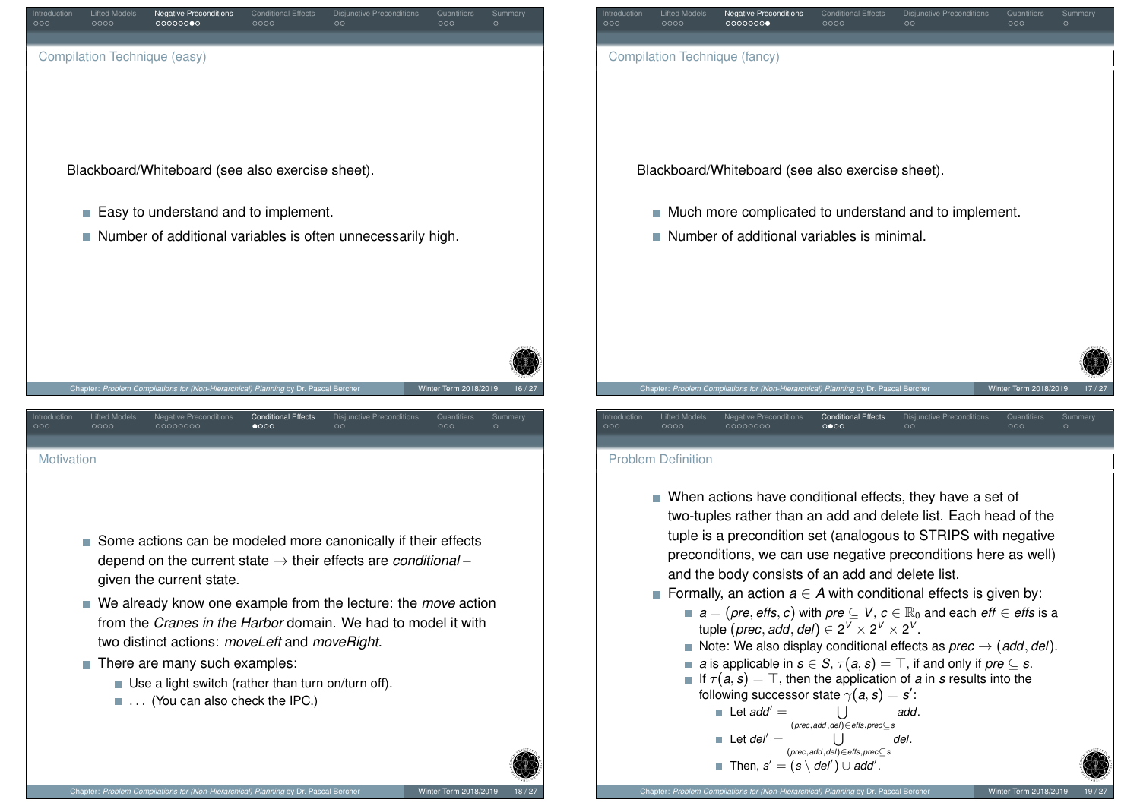

- <span id="page-4-0"></span>Some actions can be modeled more canonically if their effects depend on the current state → their effects are *conditional* – given the current state.
- We already know one example from the lecture: the *move* action from the *Cranes in the Harbor* domain. We had to model it with two distinct actions: *moveLeft* and *moveRight*.
- There are many such examples:
	- $\blacksquare$  Use a light switch (rather than turn on/turn off).
	- ... (You can also check the IPC.)

| Introduction<br>000 | <b>Lifted Models</b><br>0000 | <b>Negative Preconditions</b><br>0000000                                            | <b>Conditional Effects</b><br>0000 | <b>Disjunctive Preconditions</b><br>$\circ$           | Quantifiers<br>000    | Summary<br>$\circ$ |
|---------------------|------------------------------|-------------------------------------------------------------------------------------|------------------------------------|-------------------------------------------------------|-----------------------|--------------------|
|                     |                              | Compilation Technique (fancy)                                                       |                                    |                                                       |                       |                    |
|                     |                              |                                                                                     |                                    |                                                       |                       |                    |
|                     |                              |                                                                                     |                                    |                                                       |                       |                    |
|                     |                              | Blackboard/Whiteboard (see also exercise sheet).                                    |                                    |                                                       |                       |                    |
|                     | $\mathcal{C}^{\mathcal{A}}$  |                                                                                     |                                    | Much more complicated to understand and to implement. |                       |                    |
|                     |                              | Number of additional variables is minimal.                                          |                                    |                                                       |                       |                    |
|                     |                              |                                                                                     |                                    |                                                       |                       |                    |
|                     |                              |                                                                                     |                                    |                                                       |                       |                    |
|                     |                              |                                                                                     |                                    |                                                       |                       |                    |
|                     |                              |                                                                                     |                                    |                                                       |                       |                    |
|                     |                              |                                                                                     |                                    |                                                       |                       |                    |
|                     |                              | Chapter: Problem Compilations for (Non-Hierarchical) Planning by Dr. Pascal Bercher |                                    |                                                       | Winter Term 2018/2019 | 17/27              |

#### Problem Definition

- When actions have conditional effects, they have a set of two-tuples rather than an add and delete list. Each head of the tuple is a precondition set (analogous to STRIPS with negative preconditions, we can use negative preconditions here as well) and the body consists of an add and delete list.
- **Formally, an action**  $a \in A$  **with conditional effects is given by:** 
	- *a* = (*pre*, *effs*, *c*) with *pre* ⊆ *V*, *c* ∈  $\mathbb{R}_0$  and each *eff* ∈ *effs* is a  $\textrm{tuple }(\textrm{prec},\textrm{add},\textrm{del})\in 2^V\times 2^V\times 2^V.$
	- Note: We also display conditional effects as  $prec \rightarrow (add, del)$ .
	- *a* is applicable in *s* ∈ *S*,  $\tau(a, s) = \top$ , if and only if *pre* ⊂ *s*.
	- If  $\tau(a,s) = \top$ , then the application of *a* in *s* results into the following successor state  $\gamma(\boldsymbol{a},\boldsymbol{s})=\boldsymbol{s}^\prime$  :

```
\Box Let add<sup>\prime</sup> =U
                         (prec,add,del)∈effs,prec⊆s
                                                             add.
\blacksquare Let del<sup>\prime</sup> =U
                       (prec,add,del)∈effs,prec⊆s
                                                           del.
     Then, s' = (s \setminus \textit{del}') \cup \textit{add}'.
```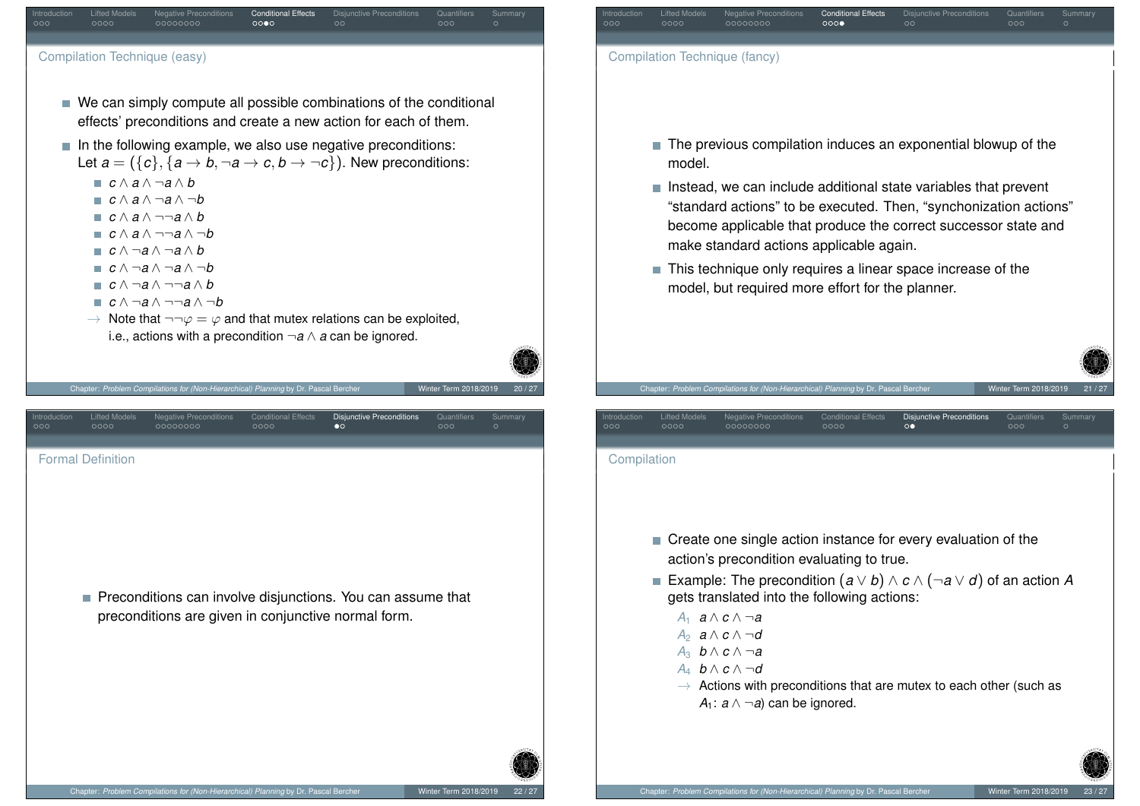<span id="page-5-0"></span>

| Introduction<br>000 | <b>Lifted Models</b><br>0000 | <b>Negative Preconditions</b><br>00000000                                                                                                                                                                                                         | <b>Conditional Effects</b><br>000                           | <b>Disjunctive Preconditions</b><br>$\circ$ | Quantifiers<br>000    | Summary<br>$\circ$ |
|---------------------|------------------------------|---------------------------------------------------------------------------------------------------------------------------------------------------------------------------------------------------------------------------------------------------|-------------------------------------------------------------|---------------------------------------------|-----------------------|--------------------|
|                     |                              | Compilation Technique (fancy)                                                                                                                                                                                                                     |                                                             |                                             |                       |                    |
|                     |                              |                                                                                                                                                                                                                                                   |                                                             |                                             |                       |                    |
|                     |                              |                                                                                                                                                                                                                                                   |                                                             |                                             |                       |                    |
|                     | T.<br>model.                 | The previous compilation induces an exponential blowup of the                                                                                                                                                                                     |                                                             |                                             |                       |                    |
|                     | $\mathcal{L}_{\mathcal{A}}$  | Instead, we can include additional state variables that prevent<br>"standard actions" to be executed. Then, "synchonization actions"<br>become applicable that produce the correct successor state and<br>make standard actions applicable again. |                                                             |                                             |                       |                    |
|                     | U.                           |                                                                                                                                                                                                                                                   | This technique only requires a linear space increase of the |                                             |                       |                    |
|                     |                              |                                                                                                                                                                                                                                                   |                                                             |                                             |                       |                    |
|                     |                              | model, but required more effort for the planner.                                                                                                                                                                                                  |                                                             |                                             |                       |                    |
|                     |                              |                                                                                                                                                                                                                                                   |                                                             |                                             |                       |                    |
|                     |                              |                                                                                                                                                                                                                                                   |                                                             |                                             |                       |                    |
|                     |                              | Chapter: Problem Compilations for (Non-Hierarchical) Planning by Dr. Pascal Bercher                                                                                                                                                               |                                                             |                                             | Winter Term 2018/2019 |                    |
|                     | <b>Lifted Models</b><br>0000 | <b>Negative Preconditions</b><br>00000000                                                                                                                                                                                                         | <b>Conditional Effects</b><br>0000                          | Disjunctive Preconditions<br>$\circ\bullet$ | Quantifiers<br>000    | Summary<br>$\circ$ |
| Compilation         |                              |                                                                                                                                                                                                                                                   |                                                             |                                             |                       |                    |
|                     |                              |                                                                                                                                                                                                                                                   |                                                             |                                             |                       |                    |
|                     |                              |                                                                                                                                                                                                                                                   |                                                             |                                             |                       |                    |
| Introduction<br>000 | m,                           | Create one single action instance for every evaluation of the                                                                                                                                                                                     |                                                             |                                             |                       |                    |
|                     |                              | action's precondition evaluating to true.<br>Example: The precondition $(a \vee b) \wedge c \wedge (\neg a \vee d)$ of an action A                                                                                                                |                                                             |                                             |                       |                    |
|                     |                              | gets translated into the following actions:<br>$A_1$ $a \wedge c \wedge \neg a$                                                                                                                                                                   |                                                             |                                             |                       |                    |

*A*<sup>4</sup> *b* ∧ *c* ∧ ¬*d*  $\rightarrow$  Actions with preconditions that are mutex to each other (such as *A*<sub>1</sub>:  $a \wedge \neg a$  can be ignored.